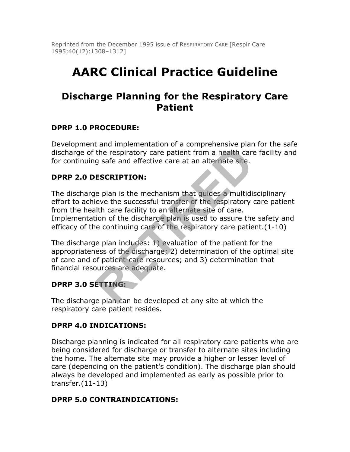Reprinted from the December 1995 issue of RESPIRATORY CARE [Respir Care 1995;40(12):1308–1312]

# **AARC Clinical Practice Guideline**

## **Discharge Planning for the Respiratory Care Patient**

#### **DPRP 1.0 PROCEDURE:**

Development and implementation of a comprehensive plan for the safe discharge of the respiratory care patient from a health care facility and for continuing safe and effective care at an alternate site.

#### **DPRP 2.0 DESCRIPTION:**

The discharge plan is the mechanism that guides a multidisciplinary effort to achieve the successful transfer of the respiratory care patient from the health care facility to an alternate site of care. Implementation of the discharge plan is used to assure the safety and efficacy of the continuing care of the respiratory care patient.(1-10) For the respiratory care patient from a health care<br>of the respiratory care patient from a health care<br>g safe and effective care at an alternate site.<br>**ESCRIPTION:**<br>e plan is the mechanism that guides a multidie<br>eve the su

The discharge plan includes: 1) evaluation of the patient for the appropriateness of the discharge; 2) determination of the optimal site of care and of patient-care resources; and 3) determination that financial resources are adequate.

### **DPRP 3.0 SETTING:**

The discharge plan can be developed at any site at which the respiratory care patient resides.

#### **DPRP 4.0 INDICATIONS:**

Discharge planning is indicated for all respiratory care patients who are being considered for discharge or transfer to alternate sites including the home. The alternate site may provide a higher or lesser level of care (depending on the patient's condition). The discharge plan should always be developed and implemented as early as possible prior to transfer.(11-13)

#### **DPRP 5.0 CONTRAINDICATIONS:**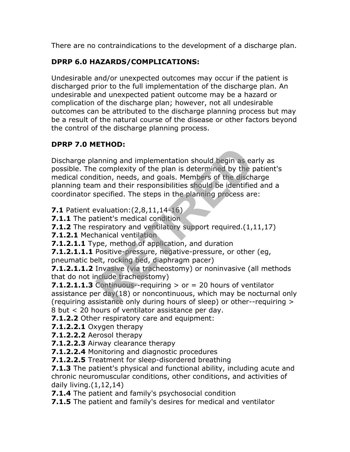There are no contraindications to the development of a discharge plan.

## **DPRP 6.0 HAZARDS/COMPLICATIONS:**

Undesirable and/or unexpected outcomes may occur if the patient is discharged prior to the full implementation of the discharge plan. An undesirable and unexpected patient outcome may be a hazard or complication of the discharge plan; however, not all undesirable outcomes can be attributed to the discharge planning process but may be a result of the natural course of the disease or other factors beyond the control of the discharge planning process.

## **DPRP 7.0 METHOD:**

Discharge planning and implementation should begin as early as possible. The complexity of the plan is determined by the patient's medical condition, needs, and goals. Members of the discharge planning team and their responsibilities should be identified and a coordinator specified. The steps in the planning process are: **EXAMPLE 1888**<br> **RETTIRED:**<br> **RETTIRED:**<br> **RETTIRED:**<br> **RETTIRED:**<br> **RETTIRED:**<br> **RETTIRED:**<br> **RETTIRED:**<br> **RETTIRED:**<br> **RETTIRED:**<br> **RETTIRED:**<br> **RETTIRED:**<br> **RETTIRED:**<br> **RETTIRED:**<br> **RETTIRED:**<br> **RETTIRED:**<br> **RETTIRED:** 

**7.1** Patient evaluation:(2,8,11,14-16)

- **7.1.1** The patient's medical condition
- **7.1.2** The respiratory and ventilatory support required.(1,11,17)
- **7.1.2.1** Mechanical ventilation
- **7.1.2.1.1** Type, method of application, and duration

**7.1.2.1.1.1** Positive-pressure, negative-pressure, or other (eg, pneumatic belt, rocking bed, diaphragm pacer)

**7.1.2.1.1.2** Invasive (via tracheostomy) or noninvasive (all methods that do not include tracheostomy)

**7.1.2.1.1.3** Continuous--requiring  $>$  or  $=$  20 hours of ventilator assistance per  $day(18)$  or noncontinuous, which may be nocturnal only (requiring assistance only during hours of sleep) or other--requiring > 8 but < 20 hours of ventilator assistance per day.

**7.1.2.2** Other respiratory care and equipment:

**7.1.2.2.1** Oxygen therapy

**7.1.2.2.2** Aerosol therapy

- **7.1.2.2.3** Airway clearance therapy
- **7.1.2.2.4** Monitoring and diagnostic procedures
- **7.1.2.2.5** Treatment for sleep-disordered breathing

**7.1.3** The patient's physical and functional ability, including acute and chronic neuromuscular conditions, other conditions, and activities of daily living.(1,12,14)

**7.1.4** The patient and family's psychosocial condition

**7.1.5** The patient and family's desires for medical and ventilator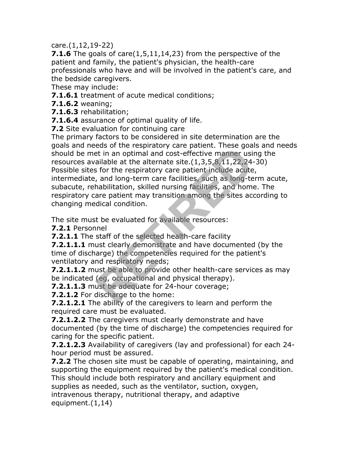care.(1,12,19-22)

**7.1.6** The goals of care(1,5,11,14,23) from the perspective of the patient and family, the patient's physician, the health-care professionals who have and will be involved in the patient's care, and the bedside caregivers.

These may include:

**7.1.6.1** treatment of acute medical conditions;

**7.1.6.2** weaning;

**7.1.6.3** rehabilitation;

**7.1.6.4** assurance of optimal quality of life.

**7.2** Site evaluation for continuing care

The primary factors to be considered in site determination are the goals and needs of the respiratory care patient. These goals and needs should be met in an optimal and cost-effective manner using the resources available at the alternate site.(1,3,5,8,11,22,24-30) Possible sites for the respiratory care patient include acute, intermediate, and long-term care facilities, such as long-term acute, subacute, rehabilitation, skilled nursing facilities, and home. The respiratory care patient may transition among the sites according to changing medical condition. edision the respiratory care patient. These goal<br>at in an optimal and cost-effective manner usi<br>ailable at the alternate site.(1,3,5,8,11,22,24-<br>s for the respiratory care patient include acute<br>, and long-term care facilit

The site must be evaluated for available resources:

**7.2.1** Personnel

**7.2.1.1** The staff of the selected health-care facility

**7.2.1.1.1** must clearly demonstrate and have documented (by the time of discharge) the competencies required for the patient's ventilatory and respiratory needs;

**7.2.1.1.2** must be able to provide other health-care services as may be indicated (eg, occupational and physical therapy).

**7.2.1.1.3** must be adequate for 24-hour coverage;

**7.2.1.2** For discharge to the home:

**7.2.1.2.1** The ability of the caregivers to learn and perform the required care must be evaluated.

**7.2.1.2.2** The caregivers must clearly demonstrate and have documented (by the time of discharge) the competencies required for caring for the specific patient.

**7.2.1.2.3** Availability of caregivers (lay and professional) for each 24 hour period must be assured.

**7.2.2** The chosen site must be capable of operating, maintaining, and supporting the equipment required by the patient's medical condition. This should include both respiratory and ancillary equipment and supplies as needed, such as the ventilator, suction, oxygen, intravenous therapy, nutritional therapy, and adaptive equipment.(1,14)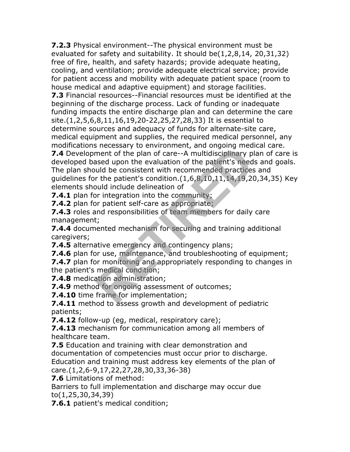**7.2.3** Physical environment--The physical environment must be evaluated for safety and suitability. It should be(1,2,8,14, 20,31,32) free of fire, health, and safety hazards; provide adequate heating, cooling, and ventilation; provide adequate electrical service; provide for patient access and mobility with adequate patient space (room to house medical and adaptive equipment) and storage facilities.

**7.3** Financial resources--Financial resources must be identified at the beginning of the discharge process. Lack of funding or inadequate funding impacts the entire discharge plan and can determine the care site.(1,2,5,6,8,11,16,19,20-22,25,27,28,33) It is essential to determine sources and adequacy of funds for alternate-site care, medical equipment and supplies, the required medical personnel, any modifications necessary to environment, and ongoing medical care.

**7.4** Development of the plan of care--A multidisciplinary plan of care is developed based upon the evaluation of the patient's needs and goals. The plan should be consistent with recommended practices and guidelines for the patient's condition.(1,6,8,10,11,14,19,20,34,35) Key elements should include delineation of is inclusibly to environment, and ongoing med<br>ment of the plan of care--A multidisciplinary p<br>seed upon the evaluation of the patient's need<br>uld be consistent with recommended practices<br>r the patient's condition.(1,6,8,10,

**7.4.1** plan for integration into the community;

**7.4.2** plan for patient self-care as appropriate;

**7.4.3** roles and responsibilities of team members for daily care management;

**7.4.4** documented mechanism for securing and training additional caregivers;

**7.4.5** alternative emergency and contingency plans;

**7.4.6** plan for use, maintenance, and troubleshooting of equipment;

**7.4.7** plan for monitoring and appropriately responding to changes in the patient's medical condition;

**7.4.8** medication administration;

**7.4.9** method for ongoing assessment of outcomes;

**7.4.10** time frame for implementation;

**7.4.11** method to assess growth and development of pediatric patients;

**7.4.12** follow-up (eg, medical, respiratory care);

**7.4.13** mechanism for communication among all members of healthcare team.

**7.5** Education and training with clear demonstration and documentation of competencies must occur prior to discharge. Education and training must address key elements of the plan of

care.(1,2,6-9,17,22,27,28,30,33,36-38)

**7.6** Limitations of method:

Barriers to full implementation and discharge may occur due to(1,25,30,34,39)

**7.6.1** patient's medical condition;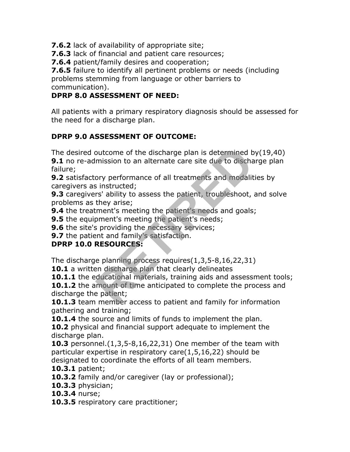**7.6.2** lack of availability of appropriate site;

**7.6.3** lack of financial and patient care resources;

**7.6.4** patient/family desires and cooperation;

**7.6.5** failure to identify all pertinent problems or needs (including problems stemming from language or other barriers to communication).

## **DPRP 8.0 ASSESSMENT OF NEED:**

All patients with a primary respiratory diagnosis should be assessed for the need for a discharge plan.

## **DPRP 9.0 ASSESSMENT OF OUTCOME:**

The desired outcome of the discharge plan is determined by(19,40)

**9.1** no re-admission to an alternate care site due to discharge plan failure;

**9.2** satisfactory performance of all treatments and modalities by caregivers as instructed;

**9.3** caregivers' ability to assess the patient, troubleshoot, and solve problems as they arise;

**9.4** the treatment's meeting the patient's needs and goals;

**9.5** the equipment's meeting the patient's needs;

**9.6** the site's providing the necessary services;

**9.7** the patient and family's satisfaction.

## **DPRP 10.0 RESOURCES:**

The discharge planning process requires(1,3,5-8,16,22,31)

**10.1** a written discharge plan that clearly delineates

**10.1.1** the educational materials, training aids and assessment tools;

**10.1.2** the amount of time anticipated to complete the process and discharge the patient; outcome of the discharge plan is determined b<br>mission to an alternate care site due to discha<br>ory performance of all treatments and modalit<br>is instructed;<br>rs' ability to assess the patient, troubleshoot,<br>they arise;<br>ment's

**10.1.3** team member access to patient and family for information gathering and training;

**10.1.4** the source and limits of funds to implement the plan.

**10.2** physical and financial support adequate to implement the discharge plan.

**10.3** personnel.(1,3,5-8,16,22,31) One member of the team with particular expertise in respiratory care(1,5,16,22) should be designated to coordinate the efforts of all team members.

**10.3.1** patient;

**10.3.2** family and/or caregiver (lay or professional);

**10.3.3** physician;

**10.3.4** nurse;

10.3.5 respiratory care practitioner;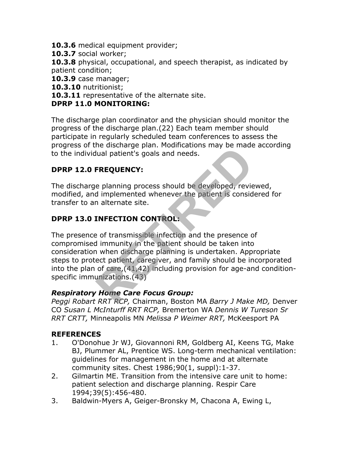**10.3.6** medical equipment provider;

**10.3.7** social worker;

**10.3.8** physical, occupational, and speech therapist, as indicated by patient condition;

**10.3.9** case manager;

**10.3.10** nutritionist;

**10.3.11** representative of the alternate site.

#### **DPRP 11.0 MONITORING:**

The discharge plan coordinator and the physician should monitor the progress of the discharge plan.(22) Each team member should participate in regularly scheduled team conferences to assess the progress of the discharge plan. Modifications may be made according to the individual patient's goals and needs.

## **DPRP 12.0 FREQUENCY:**

The discharge planning process should be developed, reviewed, modified, and implemented whenever the patient is considered for transfer to an alternate site.

## **DPRP 13.0 INFECTION CONTROL:**

The presence of transmissible infection and the presence of compromised immunity in the patient should be taken into consideration when discharge planning is undertaken. Appropriate steps to protect patient, caregiver, and family should be incorporated into the plan of care,(41,42) including provision for age-and conditionspecific immunizations.(43) It also paint intended and needs.<br> **REQUENCY:**<br> **REQUENCY:**<br> **REQUENCY:**<br> **REQUENCY:**<br> **REQUENCY:**<br> **REQUENCY:**<br> **REQUENCY:**<br> **REQUENCY:**<br> **REGUENCY:**<br> **REGUENCY:**<br> **REGUENCY:**<br> **REGUENCY:**<br> **REGUENCY:**<br> **REGUENCY:**<br> **REGU** 

#### *Respiratory Home Care Focus Group:*

*Peggi Robart RRT RCP,* Chairman, Boston MA *Barry J Make MD,* Denver CO *Susan L McInturff RRT RCP,* Bremerton WA *Dennis W Tureson Sr RRT CRTT,* Minneapolis MN *Melissa P Weimer RRT,* McKeesport PA

#### **REFERENCES**

- 1. O'Donohue Jr WJ, Giovannoni RM, Goldberg AI, Keens TG, Make BJ, Plummer AL, Prentice WS. Long-term mechanical ventilation: guidelines for management in the home and at alternate community sites. Chest 1986;90(1, suppl):1-37.
- 2. Gilmartin ME. Transition from the intensive care unit to home: patient selection and discharge planning. Respir Care 1994;39(5):456-480.
- 3. Baldwin-Myers A, Geiger-Bronsky M, Chacona A, Ewing L,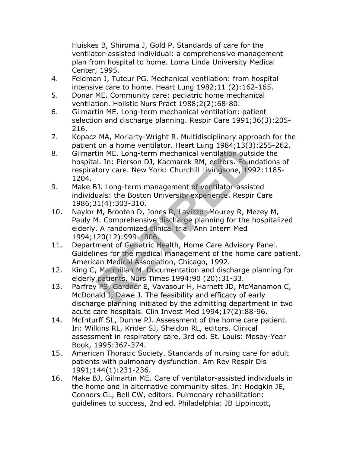Huiskes B, Shiroma J, Gold P. Standards of care for the ventilator-assisted individual: a comprehensive management plan from hospital to home. Loma Linda University Medical Center, 1995.

- 4. Feldman J, Tuteur PG. Mechanical ventilation: from hospital intensive care to home. Heart Lung 1982;11 (2):162-165.
- 5. Donar ME. Community care: pediatric home mechanical ventilation. Holistic Nurs Pract 1988;2(2):68-80.
- 6. Gilmartin ME. Long-term mechanical ventilation: patient selection and discharge planning. Respir Care 1991;36(3):205- 216.
- 7. Kopacz MA, Moriarty-Wright R. Multidisciplinary approach for the patient on a home ventilator. Heart Lung 1984;13(3):255-262.
- 8. Gilmartin ME. Long-term mechanical ventilation outside the hospital. In: Pierson DJ, Kacmarek RM, editors. Foundations of respiratory care. New York: Churchill Livingsone, 1992:1185- 1204.
- 9. Make BJ. Long-term management of ventilator-assisted individuals: the Boston University experience. Respir Care 1986;31(4):303-310.
- 10. Naylor M, Brooten D, Jones R, Lavizzo -Mourey R, Mezey M, Pauly M. Comprehensive discharge planning for the hospitalized elderly. A randomized clinical trial. Ann Intern Med 1994;120(12):999-1006. For a Home ventilator: Heart Eding 1904, 19(3)<br>I. In: Pierson DJ, Kacmarek RM, editors. Foundary<br>for a Horse A. Rev. York: Churchill Livingsone, 199<br>3). Long-term management of ventilator-assist<br>uals: the Boston University
- 11. Department of Geriatric Health, Home Care Advisory Panel. Guidelines for the medical management of the home care patient. American Medical Association, Chicago, 1992.
- 12. King C, Macmillan M. Documentation and discharge planning for elderly patients. Nurs Times 1994;90 (20):31-33.
- 13. Parfrey PS, Gardner E, Vavasour H, Harnett JD, McManamon C, McDonald J, Dawe J. The feasibility and efficacy of early discharge planning initiated by the admitting department in two acute care hospitals. Clin Invest Med 1994;17(2):88-96.
- 14. McInturff SL, Dunne PJ. Assessment of the home care patient. In: Wilkins RL, Krider SJ, Sheldon RL, editors. Clinical assessment in respiratory care, 3rd ed. St. Louis: Mosby-Year Book, 1995:367-374.
- 15. American Thoracic Society. Standards of nursing care for adult patients with pulmonary dysfunction. Am Rev Respir Dis 1991;144(1):231-236.
- 16. Make BJ, Gilmartin ME. Care of ventilator-assisted individuals in the home and in alternative community sites. In: Hodgkin JE, Connors GL, Bell CW, editors. Pulmonary rehabilitation: guidelines to success, 2nd ed. Philadelphia: JB Lippincott,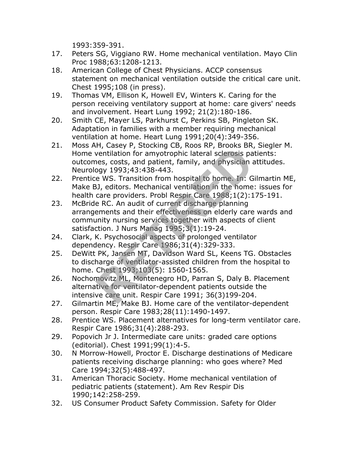1993:359-391.

- 17. Peters SG, Viggiano RW. Home mechanical ventilation. Mayo Clin Proc 1988;63:1208-1213.
- 18. American College of Chest Physicians. ACCP consensus statement on mechanical ventilation outside the critical care unit. Chest 1995;108 (in press).
- 19. Thomas VM, Ellison K, Howell EV, Winters K. Caring for the person receiving ventilatory support at home: care givers' needs and involvement. Heart Lung 1992; 21(2):180-186.
- 20. Smith CE, Mayer LS, Parkhurst C, Perkins SB, Pingleton SK. Adaptation in families with a member requiring mechanical ventilation at home. Heart Lung 1991;20(4):349-356.
- 21. Moss AH, Casey P, Stocking CB, Roos RP, Brooks BR, Siegler M. Home ventilation for amyotrophic lateral sclerosis patients: outcomes, costs, and patient, family, and physician attitudes. Neurology 1993;43:438-443.
- 22. Prentice WS. Transition from hospital to home. In: Gilmartin ME, Make BJ, editors. Mechanical ventilation in the home: issues for health care providers. Probl Respir Care 1988;1(2):175-191.
- 23. McBride RC. An audit of current discharge planning arrangements and their effectiveness on elderly care wards and community nursing services together with aspects of client satisfaction. J Nurs Manag 1995;3(1):19-24. wentilation for amyotrophic lateral sclerosis payer and pairs, costs, and patient, family, and physician and physician and physician and y 1993;43:438-443.<br>
RETIRED AND MORET TO MANUAL THE AND MUST CAN AND MORE THAND THE R
- 24. Clark, K. Psychosocial aspects of prolonged ventilator dependency. Respir Care 1986;31(4):329-333.
- 25. DeWitt PK, Jansen MT, Davidson Ward SL, Keens TG. Obstacles to discharge of ventilator-assisted children from the hospital to home. Chest 1993;103(5): 1560-1565.
- 26. Nochomovitz ML, Montenegro HD, Parran S, Daly B. Placement alternative for ventilator-dependent patients outside the intensive care unit. Respir Care 1991; 36(3)199-204.
- 27. Gilmartin ME, Make BJ. Home care of the ventilator-dependent person. Respir Care 1983;28(11):1490-1497.
- 28. Prentice WS. Placement alternatives for long-term ventilator care. Respir Care 1986;31(4):288-293.
- 29. Popovich Jr J. Intermediate care units: graded care options (editorial). Chest 1991;99(1):4-5.
- 30. N Morrow-Howell, Proctor E. Discharge destinations of Medicare patients receiving discharge planning: who goes where? Med Care 1994;32(5):488-497.
- 31. American Thoracic Society. Home mechanical ventilation of pediatric patients (statement). Am Rev Respir Dis 1990;142:258-259.
- 32. US Consumer Product Safety Commission. Safety for Older